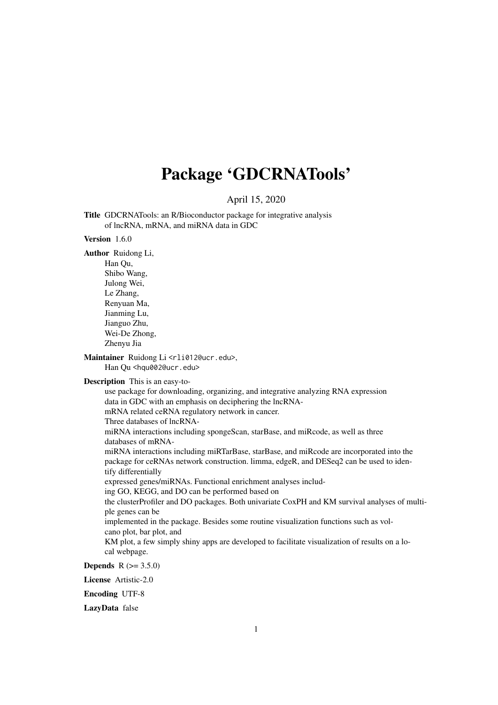## Package 'GDCRNATools'

April 15, 2020

<span id="page-0-0"></span>Title GDCRNATools: an R/Bioconductor package for integrative analysis of lncRNA, mRNA, and miRNA data in GDC

#### Version 1.6.0

Author Ruidong Li,

Han Qu, Shibo Wang, Julong Wei, Le Zhang, Renyuan Ma, Jianming Lu, Jianguo Zhu, Wei-De Zhong, Zhenyu Jia

Maintainer Ruidong Li <rli012@ucr.edu>, Han Qu <hqu002@ucr.edu>

Description This is an easy-to-

use package for downloading, organizing, and integrative analyzing RNA expression data in GDC with an emphasis on deciphering the lncRNAmRNA related ceRNA regulatory network in cancer. Three databases of lncRNAmiRNA interactions including spongeScan, starBase, and miRcode, as well as three databases of mRNAmiRNA interactions including miRTarBase, starBase, and miRcode are incorporated into the package for ceRNAs network construction. limma, edgeR, and DESeq2 can be used to identify differentially expressed genes/miRNAs. Functional enrichment analyses including GO, KEGG, and DO can be performed based on the clusterProfiler and DO packages. Both univariate CoxPH and KM survival analyses of multiple genes can be implemented in the package. Besides some routine visualization functions such as volcano plot, bar plot, and KM plot, a few simply shiny apps are developed to facilitate visualization of results on a local webpage. **Depends**  $R (= 3.5.0)$ 

License Artistic-2.0

Encoding UTF-8

LazyData false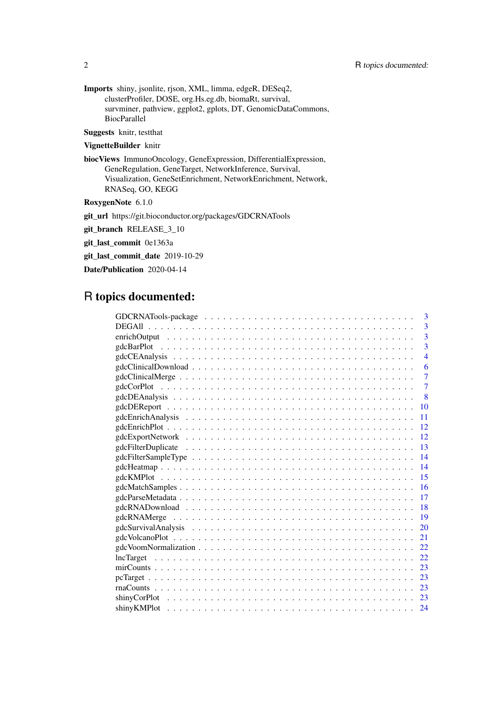Imports shiny, jsonlite, rjson, XML, limma, edgeR, DESeq2, clusterProfiler, DOSE, org.Hs.eg.db, biomaRt, survival, survminer, pathview, ggplot2, gplots, DT, GenomicDataCommons, BiocParallel

Suggests knitr, testthat

## VignetteBuilder knitr

biocViews ImmunoOncology, GeneExpression, DifferentialExpression, GeneRegulation, GeneTarget, NetworkInference, Survival, Visualization, GeneSetEnrichment, NetworkEnrichment, Network, RNASeq, GO, KEGG

RoxygenNote 6.1.0

git\_url https://git.bioconductor.org/packages/GDCRNATools

git\_branch RELEASE\_3\_10

git\_last\_commit 0e1363a

git last commit date 2019-10-29

Date/Publication 2020-04-14

## R topics documented:

|               | 3              |
|---------------|----------------|
| <b>DEGAII</b> | 3              |
|               | 3              |
|               | 3              |
|               | $\overline{4}$ |
|               | 6              |
|               | 7              |
|               | 7              |
|               | 8              |
| 10            |                |
| 11            |                |
| 12            |                |
| 12            |                |
| 13            |                |
| 14            |                |
| 14            |                |
| 15            |                |
| 16            |                |
| 17            |                |
| 18            |                |
| 19            |                |
| <b>20</b>     |                |
| 21            |                |
| 22            |                |
| 22            |                |
| 23            |                |
| -23           |                |
| 23            |                |
| 23            |                |
|               |                |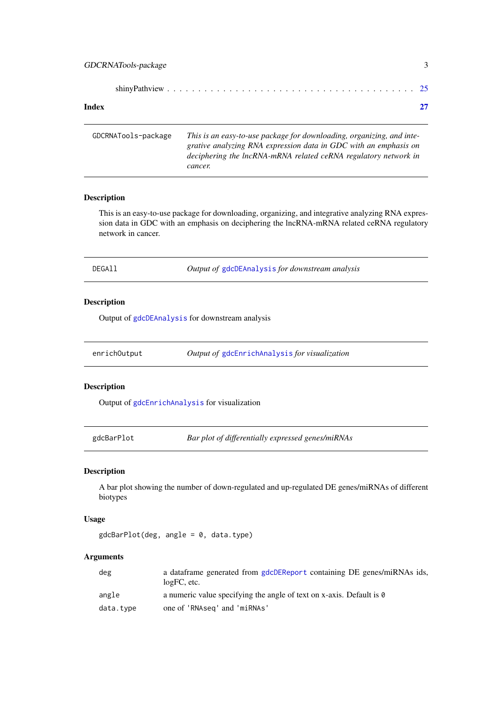<span id="page-2-0"></span>

#### **Index** [27](#page-26-0)

| GDCRNATools-package | This is an easy-to-use package for downloading, organizing, and inte-<br>grative analyzing RNA expression data in GDC with an emphasis on<br>deciphering the lncRNA-mRNA related ceRNA regulatory network in<br>cancer. |
|---------------------|-------------------------------------------------------------------------------------------------------------------------------------------------------------------------------------------------------------------------|
|                     |                                                                                                                                                                                                                         |

## Description

This is an easy-to-use package for downloading, organizing, and integrative analyzing RNA expression data in GDC with an emphasis on deciphering the lncRNA-mRNA related ceRNA regulatory network in cancer.

Output of [gdcDEAnalysis](#page-7-1) for downstream analysis

## Description

Output of [gdcDEAnalysis](#page-7-1) for downstream analysis

| enrichOutput | <i>Output of gdcEnrichAnalysis for visualization</i> |
|--------------|------------------------------------------------------|
|--------------|------------------------------------------------------|

## Description

Output of [gdcEnrichAnalysis](#page-10-1) for visualization

gdcBarPlot *Bar plot of differentially expressed genes/miRNAs*

## Description

A bar plot showing the number of down-regulated and up-regulated DE genes/miRNAs of different biotypes

## Usage

gdcBarPlot(deg, angle = 0, data.type)

| deg       | a data frame generated from gdcDEReport containing DE genes/miRNAs ids,<br>$logFC$ , etc. |
|-----------|-------------------------------------------------------------------------------------------|
| angle     | a numeric value specifying the angle of text on x-axis. Default is 0                      |
| data.type | one of 'RNAseq' and 'miRNAs'                                                              |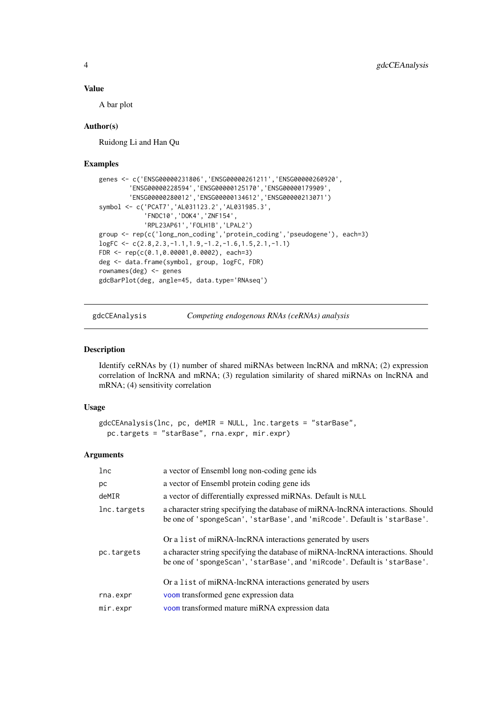## <span id="page-3-0"></span>Value

A bar plot

## Author(s)

Ruidong Li and Han Qu

#### Examples

```
genes <- c('ENSG00000231806','ENSG00000261211','ENSG00000260920',
        'ENSG00000228594','ENSG00000125170','ENSG00000179909',
        'ENSG00000280012','ENSG00000134612','ENSG00000213071')
symbol <- c('PCAT7','AL031123.2','AL031985.3',
             'FNDC10','DOK4','ZNF154',
            'RPL23AP61','FOLH1B','LPAL2')
group <- rep(c('long_non_coding','protein_coding','pseudogene'), each=3)
logFC <- c(2.8,2.3,-1.1,1.9,-1.2,-1.6,1.5,2.1,-1.1)
FDR <- rep(c(0.1,0.00001,0.0002), each=3)
deg <- data.frame(symbol, group, logFC, FDR)
rownames(deg) <- genes
gdcBarPlot(deg, angle=45, data.type='RNAseq')
```
<span id="page-3-1"></span>

gdcCEAnalysis *Competing endogenous RNAs (ceRNAs) analysis*

#### Description

Identify ceRNAs by (1) number of shared miRNAs between lncRNA and mRNA; (2) expression correlation of lncRNA and mRNA; (3) regulation similarity of shared miRNAs on lncRNA and mRNA; (4) sensitivity correlation

## Usage

```
gdcCEAnalysis(lnc, pc, deMIR = NULL, lnc.targets = "starBase",
 pc.targets = "starBase", rna.expr, mir.expr)
```

| 1nc         | a vector of Ensembl long non-coding gene ids                                                                                                                 |
|-------------|--------------------------------------------------------------------------------------------------------------------------------------------------------------|
| pc          | a vector of Ensembl protein coding gene ids                                                                                                                  |
| deMIR       | a vector of differentially expressed miRNAs. Default is NULL                                                                                                 |
| lnc.targets | a character string specifying the database of miRNA-lncRNA interactions. Should<br>be one of 'spongeScan', 'starBase', and 'miRcode'. Default is 'starBase'. |
|             | Or a list of miRNA-lncRNA interactions generated by users                                                                                                    |
| pc.targets  | a character string specifying the database of miRNA-lncRNA interactions. Should<br>be one of 'spongeScan', 'starBase', and 'miRcode'. Default is 'starBase'. |
|             | Or a list of miRNA-lncRNA interactions generated by users                                                                                                    |
| rna.expr    | voom transformed gene expression data                                                                                                                        |
| mir.expr    | voom transformed mature miRNA expression data                                                                                                                |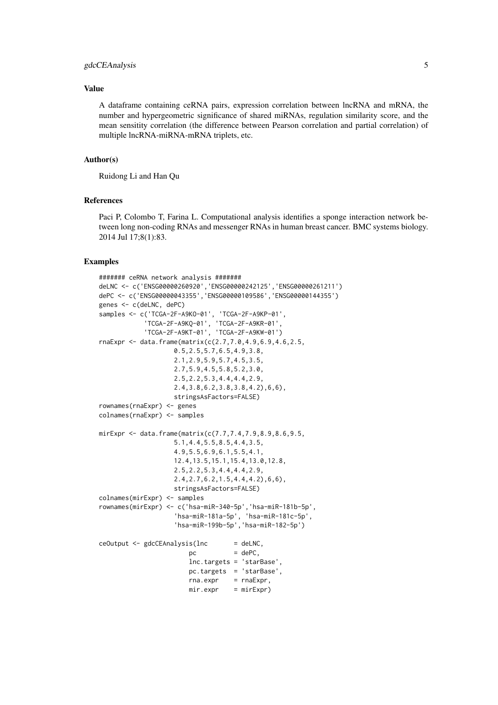#### gdcCEAnalysis 5

#### Value

A dataframe containing ceRNA pairs, expression correlation between lncRNA and mRNA, the number and hypergeometric significance of shared miRNAs, regulation similarity score, and the mean sensitity correlation (the difference between Pearson correlation and partial correlation) of multiple lncRNA-miRNA-mRNA triplets, etc.

## Author(s)

Ruidong Li and Han Qu

## References

Paci P, Colombo T, Farina L. Computational analysis identifies a sponge interaction network between long non-coding RNAs and messenger RNAs in human breast cancer. BMC systems biology. 2014 Jul 17;8(1):83.

```
####### ceRNA network analysis #######
deLNC <- c('ENSG00000260920','ENSG00000242125','ENSG00000261211')
dePC <- c('ENSG00000043355','ENSG00000109586','ENSG00000144355')
genes <- c(deLNC, dePC)
samples <- c('TCGA-2F-A9KO-01', 'TCGA-2F-A9KP-01',
            'TCGA-2F-A9KQ-01', 'TCGA-2F-A9KR-01',
            'TCGA-2F-A9KT-01', 'TCGA-2F-A9KW-01')
rnaExpr <- data.frame(matrix(c(2.7,7.0,4.9,6.9,4.6,2.5,
                    0.5,2.5,5.7,6.5,4.9,3.8,
                    2.1,2.9,5.9,5.7,4.5,3.5,
                    2.7,5.9,4.5,5.8,5.2,3.0,
                    2.5,2.2,5.3,4.4,4.4,2.9,
                    2.4,3.8,6.2,3.8,3.8,4.2),6,6),
                    stringsAsFactors=FALSE)
rownames(rnaExpr) <- genes
colnames(rnaExpr) <- samples
mirExpr <- data.frame(matrix(c(7.7,7.4,7.9,8.9,8.6,9.5,
                    5.1,4.4,5.5,8.5,4.4,3.5,
                    4.9,5.5,6.9,6.1,5.5,4.1,
                    12.4,13.5,15.1,15.4,13.0,12.8,
                    2.5,2.2,5.3,4.4,4.4,2.9,
                    2.4,2.7,6.2,1.5,4.4,4.2),6,6),
                    stringsAsFactors=FALSE)
colnames(mirExpr) <- samples
rownames(mirExpr) <- c('hsa-miR-340-5p','hsa-miR-181b-5p',
                    'hsa-miR-181a-5p', 'hsa-miR-181c-5p',
                    'hsa-miR-199b-5p','hsa-miR-182-5p')
ceOutput <- gdcCEAnalysis(lnc = deLNC,
                       pc = dePC.
                        lnc.targets = 'starBase',
                        pc.targets = 'starBase',
                        rna.expr = rnaExpr,mir.expr = mirExpr)
```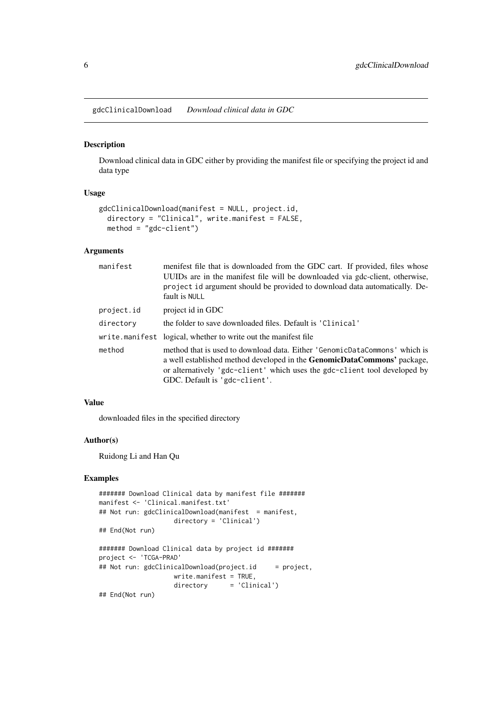<span id="page-5-0"></span>gdcClinicalDownload *Download clinical data in GDC*

## Description

Download clinical data in GDC either by providing the manifest file or specifying the project id and data type

#### Usage

```
gdcClinicalDownload(manifest = NULL, project.id,
 directory = "Clinical", write.manifest = FALSE,
 method = "gdc-client")
```
## Arguments

| manifest   | menifest file that is downloaded from the GDC cart. If provided, files whose<br>UUIDs are in the manifest file will be downloaded via gdc-client, otherwise,<br>project id argument should be provided to download data automatically. De-<br>fault is NULL                |
|------------|----------------------------------------------------------------------------------------------------------------------------------------------------------------------------------------------------------------------------------------------------------------------------|
| project.id | project id in GDC                                                                                                                                                                                                                                                          |
| directory  | the folder to save downloaded files. Default is 'Clinical'                                                                                                                                                                                                                 |
|            | write.manifest logical, whether to write out the manifest file                                                                                                                                                                                                             |
| method     | method that is used to download data. Either 'GenomicDataCommons' which is<br>a well established method developed in the <b>GenomicDataCommons'</b> package,<br>or alternatively 'gdc-client' which uses the gdc-client tool developed by<br>GDC. Default is 'gdc-client'. |

## Value

downloaded files in the specified directory

## Author(s)

Ruidong Li and Han Qu

```
####### Download Clinical data by manifest file #######
manifest <- 'Clinical.manifest.txt'
## Not run: gdcClinicalDownload(manifest = manifest,
                   directory = 'Clinical')
## End(Not run)
####### Download Clinical data by project id #######
project <- 'TCGA-PRAD'
## Not run: gdcClinicalDownload(project.id = project,
                   write.manifest = TRUE,
                   directory = 'Clinical')
## End(Not run)
```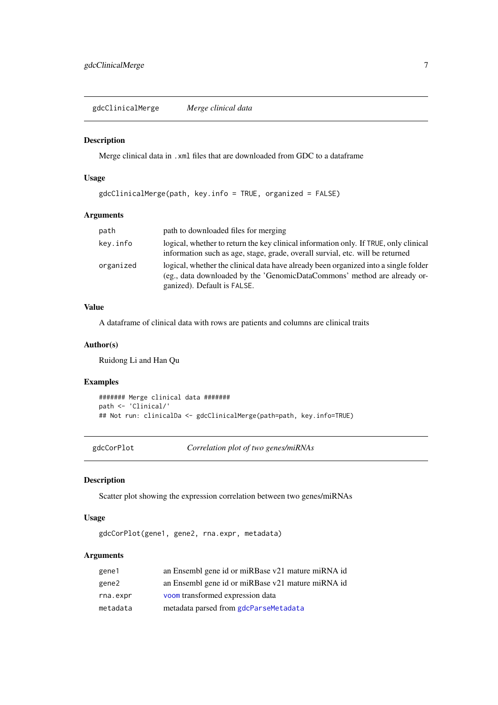<span id="page-6-0"></span>gdcClinicalMerge *Merge clinical data*

#### Description

Merge clinical data in .xml files that are downloaded from GDC to a dataframe

## Usage

```
gdcClinicalMerge(path, key.info = TRUE, organized = FALSE)
```
## Arguments

| path      | path to downloaded files for merging                                                                                                                                                           |
|-----------|------------------------------------------------------------------------------------------------------------------------------------------------------------------------------------------------|
| key.info  | logical, whether to return the key clinical information only. If TRUE, only clinical<br>information such as age, stage, grade, overall survial, etc. will be returned                          |
| organized | logical, whether the clinical data have already been organized into a single folder<br>(eg., data downloaded by the 'GenomicDataCommons' method are already or-<br>ganized). Default is FALSE. |

## Value

A dataframe of clinical data with rows are patients and columns are clinical traits

## Author(s)

Ruidong Li and Han Qu

## Examples

```
####### Merge clinical data #######
path <- 'Clinical/'
## Not run: clinicalDa <- gdcClinicalMerge(path=path, key.info=TRUE)
```
gdcCorPlot *Correlation plot of two genes/miRNAs*

## Description

Scatter plot showing the expression correlation between two genes/miRNAs

## Usage

gdcCorPlot(gene1, gene2, rna.expr, metadata)

| gene1    | an Ensembl gene id or miRBase v21 mature miRNA id |
|----------|---------------------------------------------------|
| gene2    | an Ensembl gene id or miRBase v21 mature miRNA id |
| rna.expr | voom transformed expression data                  |
| metadata | metadata parsed from gdcParseMetadata             |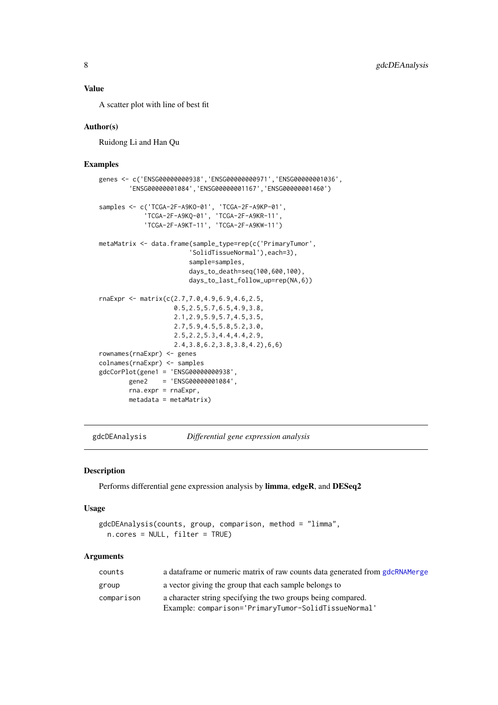## <span id="page-7-0"></span>Value

A scatter plot with line of best fit

#### Author(s)

Ruidong Li and Han Qu

#### Examples

```
genes <- c('ENSG00000000938','ENSG00000000971','ENSG00000001036',
        'ENSG00000001084','ENSG00000001167','ENSG00000001460')
samples <- c('TCGA-2F-A9KO-01', 'TCGA-2F-A9KP-01',
             'TCGA-2F-A9KQ-01', 'TCGA-2F-A9KR-11',
             'TCGA-2F-A9KT-11', 'TCGA-2F-A9KW-11')
metaMatrix <- data.frame(sample_type=rep(c('PrimaryTumor',
                        'SolidTissueNormal'),each=3),
                        sample=samples,
                        days_to_death=seq(100,600,100),
                        days_to_last_follow_up=rep(NA,6))
rnaExpr <- matrix(c(2.7,7.0,4.9,6.9,4.6,2.5,
                    0.5,2.5,5.7,6.5,4.9,3.8,
                    2.1,2.9,5.9,5.7,4.5,3.5,
                    2.7,5.9,4.5,5.8,5.2,3.0,
                    2.5,2.2,5.3,4.4,4.4,2.9,
                    2.4,3.8,6.2,3.8,3.8,4.2),6,6)
rownames(rnaExpr) <- genes
colnames(rnaExpr) <- samples
gdcCorPlot(gene1 = 'ENSG00000000938',
        gene2 = 'ENSG00000001084',
        rna.expr = rnaExpr,
        metadata = metaMatrix)
```
<span id="page-7-1"></span>gdcDEAnalysis *Differential gene expression analysis*

## Description

Performs differential gene expression analysis by limma, edgeR, and DESeq2

#### Usage

```
gdcDEAnalysis(counts, group, comparison, method = "limma",
 n.cores = NULL, filter = TRUE)
```

| counts     | a data frame or numeric matrix of raw counts data generated from gdcRNAMerge |
|------------|------------------------------------------------------------------------------|
| group      | a vector giving the group that each sample belongs to                        |
| comparison | a character string specifying the two groups being compared.                 |
|            | Example: comparison='PrimaryTumor-SolidTissueNormal'                         |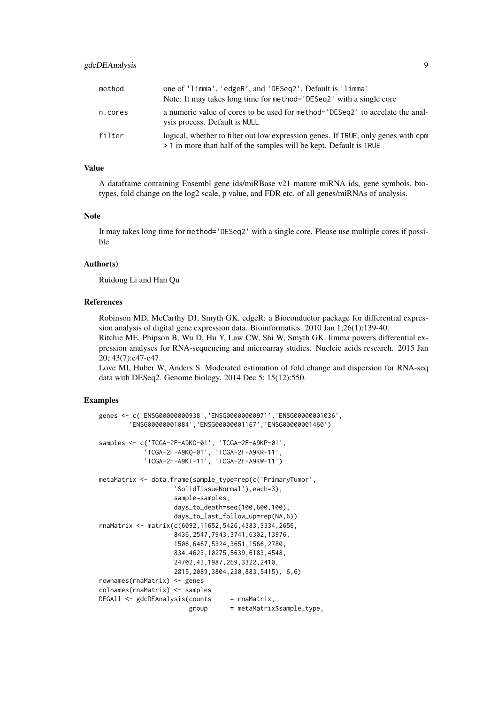| method  | one of 'limma', 'edgeR', and 'DESeq2'. Default is 'limma'<br>Note: It may takes long time for method= 'DESeq2' with a single core                       |
|---------|---------------------------------------------------------------------------------------------------------------------------------------------------------|
| n.cores | a numeric value of cores to be used for method= 'DESeq2' to accelate the anal-<br>ysis process. Default is NULL                                         |
| filter  | logical, whether to filter out low expression genes. If TRUE, only genes with cpm<br>> 1 in more than half of the samples will be kept. Default is TRUE |

#### Value

A dataframe containing Ensembl gene ids/miRBase v21 mature miRNA ids, gene symbols, biotypes, fold change on the log2 scale, p value, and FDR etc. of all genes/miRNAs of analysis.

## Note

It may takes long time for method='DESeq2' with a single core. Please use multiple cores if possible

## Author(s)

Ruidong Li and Han Qu

#### References

Robinson MD, McCarthy DJ, Smyth GK. edgeR: a Bioconductor package for differential expression analysis of digital gene expression data. Bioinformatics. 2010 Jan 1;26(1):139-40. Ritchie ME, Phipson B, Wu D, Hu Y, Law CW, Shi W, Smyth GK. limma powers differential ex-

pression analyses for RNA-sequencing and microarray studies. Nucleic acids research. 2015 Jan 20; 43(7):e47-e47.

Love MI, Huber W, Anders S. Moderated estimation of fold change and dispersion for RNA-seq data with DESeq2. Genome biology. 2014 Dec 5; 15(12):550.

```
genes <- c('ENSG00000000938','ENSG00000000971','ENSG00000001036',
        'ENSG00000001084','ENSG00000001167','ENSG00000001460')
samples <- c('TCGA-2F-A9KO-01', 'TCGA-2F-A9KP-01',
            'TCGA-2F-A9KQ-01', 'TCGA-2F-A9KR-11',
            'TCGA-2F-A9KT-11', 'TCGA-2F-A9KW-11')
metaMatrix <- data.frame(sample_type=rep(c('PrimaryTumor',
                    'SolidTissueNormal'),each=3),
                    sample=samples,
                    days_to_death=seq(100,600,100),
                    days_to_last_follow_up=rep(NA,6))
rnaMatrix <- matrix(c(6092,11652,5426,4383,3334,2656,
                    8436,2547,7943,3741,6302,13976,
                    1506,6467,5324,3651,1566,2780,
                    834,4623,10275,5639,6183,4548,
                    24702,43,1987,269,3322,2410,
                    2815,2089,3804,230,883,5415), 6,6)
rownames(rnaMatrix) <- genes
colnames(rnaMatrix) <- samples
DEGAll <- gdcDEAnalysis(counts = rnaMatrix,
                        group = metaMatrix$sample_type,
```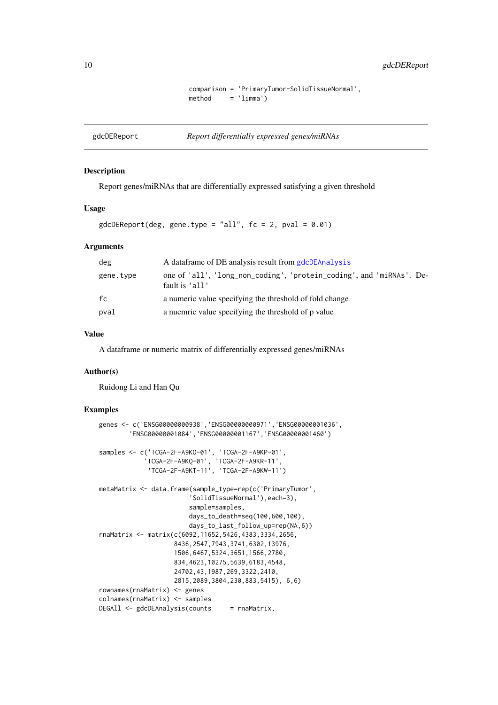```
comparison = 'PrimaryTumor-SolidTissueNormal',
method = 'limma')
```
<span id="page-9-1"></span><span id="page-9-0"></span>gdcDEReport *Report differentially expressed genes/miRNAs*

## Description

Report genes/miRNAs that are differentially expressed satisfying a given threshold

## Usage

 $gdcDEReport(deg, gene.type = "all", fc = 2, pval = 0.01)$ 

#### Arguments

| deg       | A data frame of DE analysis result from gdcDEAnalysis                                  |
|-----------|----------------------------------------------------------------------------------------|
| gene.type | one of 'all', 'long_non_coding', 'protein_coding', and 'miRNAs'. De-<br>fault is 'all' |
| fc        | a numeric value specifying the threshold of fold change                                |
| pval      | a nuemric value specifying the threshold of p value                                    |

## Value

A dataframe or numeric matrix of differentially expressed genes/miRNAs

## Author(s)

Ruidong Li and Han Qu

```
genes <- c('ENSG00000000938','ENSG00000000971','ENSG00000001036',
        'ENSG00000001084','ENSG00000001167','ENSG00000001460')
samples <- c('TCGA-2F-A9KO-01', 'TCGA-2F-A9KP-01',
             'TCGA-2F-A9KQ-01', 'TCGA-2F-A9KR-11',
              'TCGA-2F-A9KT-11', 'TCGA-2F-A9KW-11')
metaMatrix <- data.frame(sample_type=rep(c('PrimaryTumor',
                         'SolidTissueNormal'),each=3),
                        sample=samples,
                        days_to_death=seq(100,600,100),
                        days_to_last_follow_up=rep(NA,6))
rnaMatrix <- matrix(c(6092,11652,5426,4383,3334,2656,
                    8436,2547,7943,3741,6302,13976,
                    1506,6467,5324,3651,1566,2780,
                    834,4623,10275,5639,6183,4548,
                    24702,43,1987,269,3322,2410,
                    2815,2089,3804,230,883,5415), 6,6)
rownames(rnaMatrix) <- genes
colnames(rnaMatrix) <- samples
DEGAll <- gdcDEAnalysis(counts = rnaMatrix,
```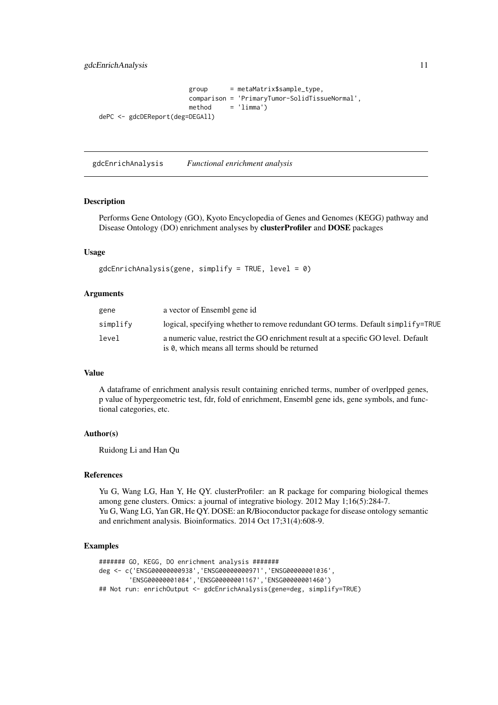<span id="page-10-0"></span>gdcEnrichAnalysis 11

```
group = metaMatrix$sample_type,
                      comparison = 'PrimaryTumor-SolidTissueNormal',
                      method = 'limma')dePC <- gdcDEReport(deg=DEGAll)
```
<span id="page-10-1"></span>gdcEnrichAnalysis *Functional enrichment analysis*

#### Description

Performs Gene Ontology (GO), Kyoto Encyclopedia of Genes and Genomes (KEGG) pathway and Disease Ontology (DO) enrichment analyses by clusterProfiler and DOSE packages

## Usage

```
gdcEnrichAnalysis(gene, simplify = TRUE, level = 0)
```
### Arguments

| gene     | a vector of Ensembl gene id                                                                                                          |
|----------|--------------------------------------------------------------------------------------------------------------------------------------|
| simplify | logical, specifying whether to remove redundant GO terms. Default simplify=TRUE                                                      |
| level    | a numeric value, restrict the GO enrichment result at a specific GO level. Default<br>is 0, which means all terms should be returned |

## Value

A dataframe of enrichment analysis result containing enriched terms, number of overlpped genes, p value of hypergeometric test, fdr, fold of enrichment, Ensembl gene ids, gene symbols, and functional categories, etc.

#### Author(s)

Ruidong Li and Han Qu

#### References

Yu G, Wang LG, Han Y, He QY. clusterProfiler: an R package for comparing biological themes among gene clusters. Omics: a journal of integrative biology. 2012 May 1;16(5):284-7. Yu G, Wang LG, Yan GR, He QY. DOSE: an R/Bioconductor package for disease ontology semantic and enrichment analysis. Bioinformatics. 2014 Oct 17;31(4):608-9.

```
####### GO, KEGG, DO enrichment analysis #######
deg <- c('ENSG00000000938','ENSG00000000971','ENSG00000001036',
        'ENSG00000001084','ENSG00000001167','ENSG00000001460')
## Not run: enrichOutput <- gdcEnrichAnalysis(gene=deg, simplify=TRUE)
```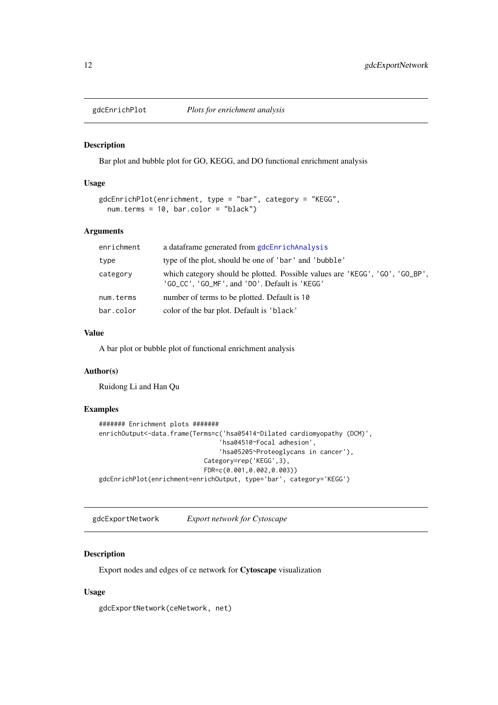<span id="page-11-0"></span>

#### Description

Bar plot and bubble plot for GO, KEGG, and DO functional enrichment analysis

#### Usage

```
gdcEnrichPlot(enrichment, type = "bar", category = "KEGG",
 num.terms = 10, bar.color = "black")
```
## Arguments

| enrichment | a dataframe generated from gdcEnrichAnalysis                                                                                  |
|------------|-------------------------------------------------------------------------------------------------------------------------------|
| type       | type of the plot, should be one of 'bar' and 'bubble'                                                                         |
| category   | which category should be plotted. Possible values are 'KEGG', 'GO', 'GO_BP',<br>'GO_CC', 'GO_MF', and 'DO'. Default is 'KEGG' |
| num.terms  | number of terms to be plotted. Default is 10                                                                                  |
| bar.color  | color of the bar plot. Default is 'black'                                                                                     |

#### Value

A bar plot or bubble plot of functional enrichment analysis

## Author(s)

Ruidong Li and Han Qu

## Examples

```
####### Enrichment plots #######
enrichOutput<-data.frame(Terms=c('hsa05414~Dilated cardiomyopathy (DCM)',
                                'hsa04510~Focal adhesion',
                                'hsa05205~Proteoglycans in cancer'),
                            Category=rep('KEGG',3),
                            FDR=c(0.001,0.002,0.003))
gdcEnrichPlot(enrichment=enrichOutput, type='bar', category='KEGG')
```
gdcExportNetwork *Export network for Cytoscape*

## Description

Export nodes and edges of ce network for Cytoscape visualization

## Usage

gdcExportNetwork(ceNetwork, net)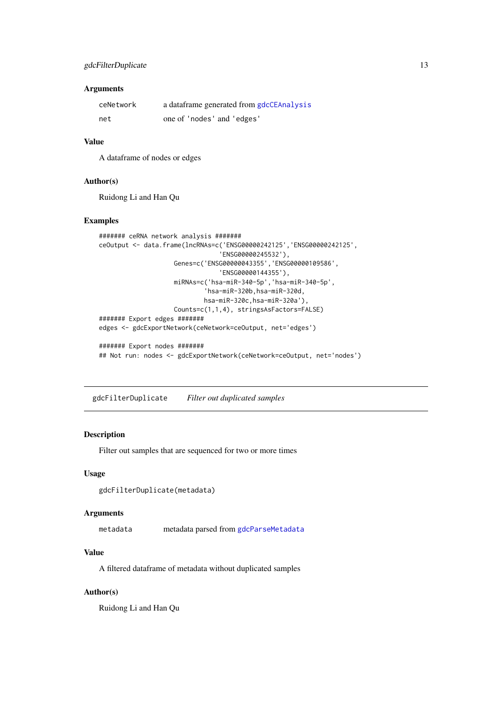## <span id="page-12-0"></span>Arguments

| ceNetwork | a dataframe generated from gdcCEAnalysis |
|-----------|------------------------------------------|
| net       | one of 'nodes' and 'edges'               |

## Value

A dataframe of nodes or edges

## Author(s)

Ruidong Li and Han Qu

#### Examples

```
####### ceRNA network analysis #######
ceOutput <- data.frame(lncRNAs=c('ENSG00000242125','ENSG00000242125',
                                'ENSG00000245532'),
                    Genes=c('ENSG00000043355','ENSG00000109586',
                                'ENSG00000144355'),
                    miRNAs=c('hsa-miR-340-5p','hsa-miR-340-5p',
                            'hsa-miR-320b,hsa-miR-320d,
                            hsa-miR-320c,hsa-miR-320a'),
                    Counts=c(1,1,4), stringsAsFactors=FALSE)
####### Export edges #######
edges <- gdcExportNetwork(ceNetwork=ceOutput, net='edges')
####### Export nodes #######
## Not run: nodes <- gdcExportNetwork(ceNetwork=ceOutput, net='nodes')
```
gdcFilterDuplicate *Filter out duplicated samples*

## Description

Filter out samples that are sequenced for two or more times

## Usage

```
gdcFilterDuplicate(metadata)
```
## Arguments

metadata metadata parsed from [gdcParseMetadata](#page-16-1)

#### Value

A filtered dataframe of metadata without duplicated samples

## Author(s)

Ruidong Li and Han Qu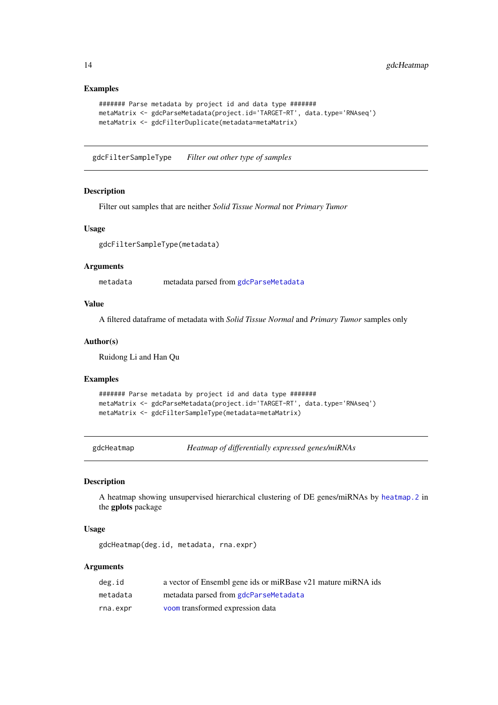## Examples

```
####### Parse metadata by project id and data type #######
metaMatrix <- gdcParseMetadata(project.id='TARGET-RT', data.type='RNAseq')
metaMatrix <- gdcFilterDuplicate(metadata=metaMatrix)
```
gdcFilterSampleType *Filter out other type of samples*

## Description

Filter out samples that are neither *Solid Tissue Normal* nor *Primary Tumor*

## Usage

gdcFilterSampleType(metadata)

#### Arguments

metadata metadata parsed from [gdcParseMetadata](#page-16-1)

## Value

A filtered dataframe of metadata with *Solid Tissue Normal* and *Primary Tumor* samples only

#### Author(s)

Ruidong Li and Han Qu

## Examples

```
####### Parse metadata by project id and data type #######
metaMatrix <- gdcParseMetadata(project.id='TARGET-RT', data.type='RNAseq')
metaMatrix <- gdcFilterSampleType(metadata=metaMatrix)
```
gdcHeatmap *Heatmap of differentially expressed genes/miRNAs*

#### Description

A heatmap showing unsupervised hierarchical clustering of DE genes/miRNAs by [heatmap.2](#page-0-0) in the gplots package

## Usage

gdcHeatmap(deg.id, metadata, rna.expr)

| deg.id   | a vector of Ensembl gene ids or miRBase v21 mature miRNA ids |
|----------|--------------------------------------------------------------|
| metadata | metadata parsed from gdcParseMetadata                        |
| rna.expr | voom transformed expression data                             |

<span id="page-13-0"></span>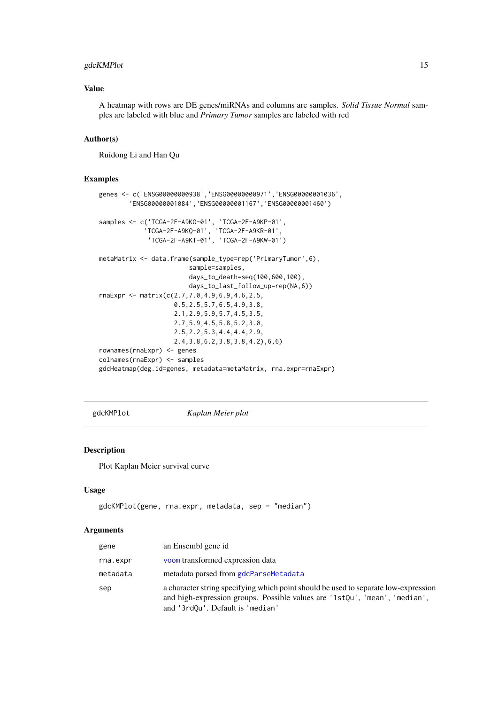#### <span id="page-14-0"></span>gdcKMPlot 15

## Value

A heatmap with rows are DE genes/miRNAs and columns are samples. *Solid Tissue Normal* samples are labeled with blue and *Primary Tumor* samples are labeled with red

#### Author(s)

Ruidong Li and Han Qu

## Examples

```
genes <- c('ENSG00000000938','ENSG00000000971','ENSG00000001036',
        'ENSG00000001084','ENSG00000001167','ENSG00000001460')
samples <- c('TCGA-2F-A9KO-01', 'TCGA-2F-A9KP-01',
             'TCGA-2F-A9KQ-01', 'TCGA-2F-A9KR-01',
             'TCGA-2F-A9KT-01', 'TCGA-2F-A9KW-01')
metaMatrix <- data.frame(sample_type=rep('PrimaryTumor',6),
                        sample=samples,
                        days_to_death=seq(100,600,100),
                        days_to_last_follow_up=rep(NA,6))
rnaExpr <- matrix(c(2.7,7.0,4.9,6.9,4.6,2.5,
                    0.5,2.5,5.7,6.5,4.9,3.8,
                    2.1,2.9,5.9,5.7,4.5,3.5,
                    2.7,5.9,4.5,5.8,5.2,3.0,
                    2.5,2.2,5.3,4.4,4.4,2.9,
                    2.4,3.8,6.2,3.8,3.8,4.2),6,6)
rownames(rnaExpr) <- genes
colnames(rnaExpr) <- samples
gdcHeatmap(deg.id=genes, metadata=metaMatrix, rna.expr=rnaExpr)
```
gdcKMPlot *Kaplan Meier plot*

#### Description

Plot Kaplan Meier survival curve

## Usage

```
gdcKMPlot(gene, rna.expr, metadata, sep = "median")
```

| gene     | an Ensembl gene id                                                                                                                                                                                    |
|----------|-------------------------------------------------------------------------------------------------------------------------------------------------------------------------------------------------------|
| rna.expr | voom transformed expression data                                                                                                                                                                      |
| metadata | metadata parsed from gdcParseMetadata                                                                                                                                                                 |
| sep      | a character string specifying which point should be used to separate low-expression<br>and high-expression groups. Possible values are '1stQu', 'mean', 'median',<br>and '3rdQu'. Default is 'median' |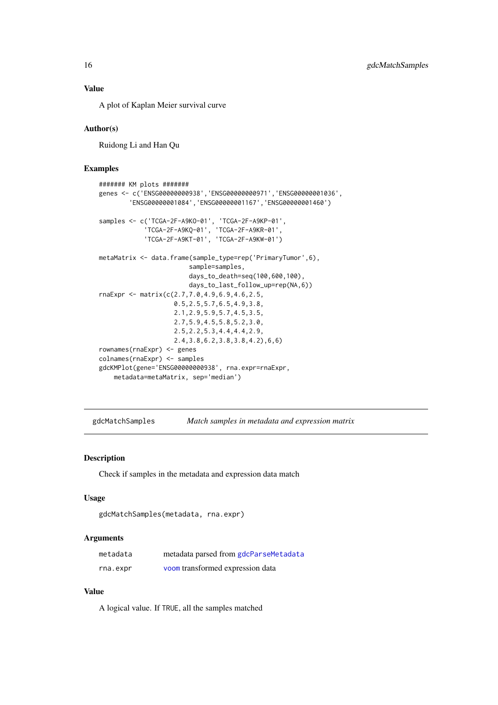<span id="page-15-0"></span>A plot of Kaplan Meier survival curve

#### Author(s)

Ruidong Li and Han Qu

## Examples

```
####### KM plots #######
genes <- c('ENSG00000000938','ENSG00000000971','ENSG00000001036',
        'ENSG00000001084','ENSG00000001167','ENSG00000001460')
samples <- c('TCGA-2F-A9KO-01', 'TCGA-2F-A9KP-01',
             'TCGA-2F-A9KQ-01', 'TCGA-2F-A9KR-01',
             'TCGA-2F-A9KT-01', 'TCGA-2F-A9KW-01')
metaMatrix <- data.frame(sample_type=rep('PrimaryTumor',6),
                        sample=samples,
                        days_to_death=seq(100,600,100),
                        days_to_last_follow_up=rep(NA,6))
rnaExpr <- matrix(c(2.7,7.0,4.9,6.9,4.6,2.5,
                    0.5,2.5,5.7,6.5,4.9,3.8,
                    2.1,2.9,5.9,5.7,4.5,3.5,
                    2.7,5.9,4.5,5.8,5.2,3.0,
                    2.5,2.2,5.3,4.4,4.4,2.9,
                    2.4,3.8,6.2,3.8,3.8,4.2),6,6)
rownames(rnaExpr) <- genes
colnames(rnaExpr) <- samples
gdcKMPlot(gene='ENSG00000000938', rna.expr=rnaExpr,
    metadata=metaMatrix, sep='median')
```
gdcMatchSamples *Match samples in metadata and expression matrix*

### Description

Check if samples in the metadata and expression data match

## Usage

```
gdcMatchSamples(metadata, rna.expr)
```
## Arguments

| metadata | metadata parsed from gdcParseMetadata |
|----------|---------------------------------------|
| rna.expr | voom transformed expression data      |

## Value

A logical value. If TRUE, all the samples matched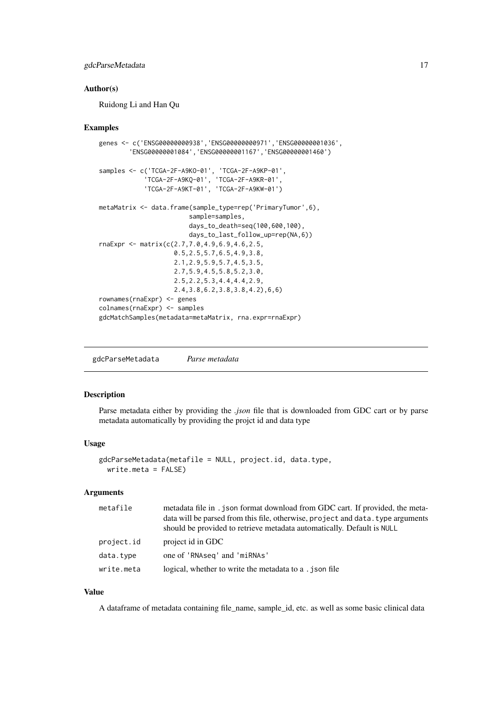#### <span id="page-16-0"></span>gdcParseMetadata 17

#### Author(s)

Ruidong Li and Han Qu

#### Examples

```
genes <- c('ENSG00000000938','ENSG00000000971','ENSG00000001036',
        'ENSG00000001084','ENSG00000001167','ENSG00000001460')
samples <- c('TCGA-2F-A9KO-01', 'TCGA-2F-A9KP-01',
             'TCGA-2F-A9KQ-01', 'TCGA-2F-A9KR-01',
             'TCGA-2F-A9KT-01', 'TCGA-2F-A9KW-01')
metaMatrix <- data.frame(sample_type=rep('PrimaryTumor',6),
                        sample=samples,
                        days_to_death=seq(100,600,100),
                        days_to_last_follow_up=rep(NA,6))
rnaExpr <- matrix(c(2.7,7.0,4.9,6.9,4.6,2.5,
                    0.5,2.5,5.7,6.5,4.9,3.8,
                    2.1,2.9,5.9,5.7,4.5,3.5,
                    2.7,5.9,4.5,5.8,5.2,3.0,
                    2.5,2.2,5.3,4.4,4.4,2.9,
                    2.4,3.8,6.2,3.8,3.8,4.2),6,6)
rownames(rnaExpr) <- genes
colnames(rnaExpr) <- samples
gdcMatchSamples(metadata=metaMatrix, rna.expr=rnaExpr)
```
<span id="page-16-1"></span>gdcParseMetadata *Parse metadata*

#### Description

Parse metadata either by providing the *.json* file that is downloaded from GDC cart or by parse metadata automatically by providing the projct id and data type

#### Usage

```
gdcParseMetadata(metafile = NULL, project.id, data.type,
 write.meta = FALSE)
```
## Arguments

| metafile   | metadata file in . json format download from GDC cart. If provided, the meta-<br>data will be parsed from this file, otherwise, project and data. type arguments<br>should be provided to retrieve metadata automatically. Default is NULL |
|------------|--------------------------------------------------------------------------------------------------------------------------------------------------------------------------------------------------------------------------------------------|
| project.id | project id in GDC                                                                                                                                                                                                                          |
| data.type  | one of 'RNAseq' and 'miRNAs'                                                                                                                                                                                                               |
| write.meta | logical, whether to write the metadata to a . ison file                                                                                                                                                                                    |

## Value

A dataframe of metadata containing file\_name, sample\_id, etc. as well as some basic clinical data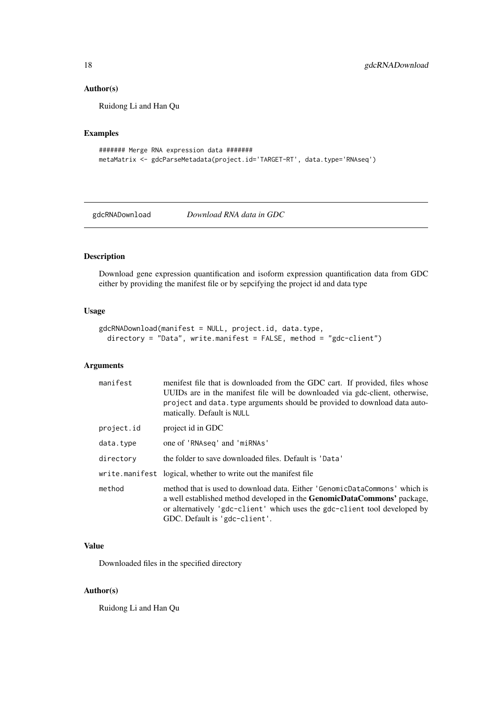## Author(s)

Ruidong Li and Han Qu

## Examples

```
####### Merge RNA expression data #######
metaMatrix <- gdcParseMetadata(project.id='TARGET-RT', data.type='RNAseq')
```
gdcRNADownload *Download RNA data in GDC*

## Description

Download gene expression quantification and isoform expression quantification data from GDC either by providing the manifest file or by sepcifying the project id and data type

## Usage

```
gdcRNADownload(manifest = NULL, project.id, data.type,
 directory = "Data", write.manifest = FALSE, method = "gdc-client")
```
## Arguments

| manifest   | menifest file that is downloaded from the GDC cart. If provided, files whose<br>UUIDs are in the manifest file will be downloaded via gdc-client, otherwise,<br>project and data, type arguments should be provided to download data auto-<br>matically. Default is NULL   |
|------------|----------------------------------------------------------------------------------------------------------------------------------------------------------------------------------------------------------------------------------------------------------------------------|
| project.id | project id in GDC                                                                                                                                                                                                                                                          |
| data.type  | one of 'RNAseq' and 'miRNAs'                                                                                                                                                                                                                                               |
| directory  | the folder to save downloaded files. Default is 'Data'                                                                                                                                                                                                                     |
|            | write.manifiest logical, whether to write out the manifest file                                                                                                                                                                                                            |
| method     | method that is used to download data. Either 'GenomicDataCommons' which is<br>a well established method developed in the <b>GenomicDataCommons'</b> package,<br>or alternatively 'gdc-client' which uses the gdc-client tool developed by<br>GDC. Default is 'gdc-client'. |

## Value

Downloaded files in the specified directory

## Author(s)

Ruidong Li and Han Qu

<span id="page-17-0"></span>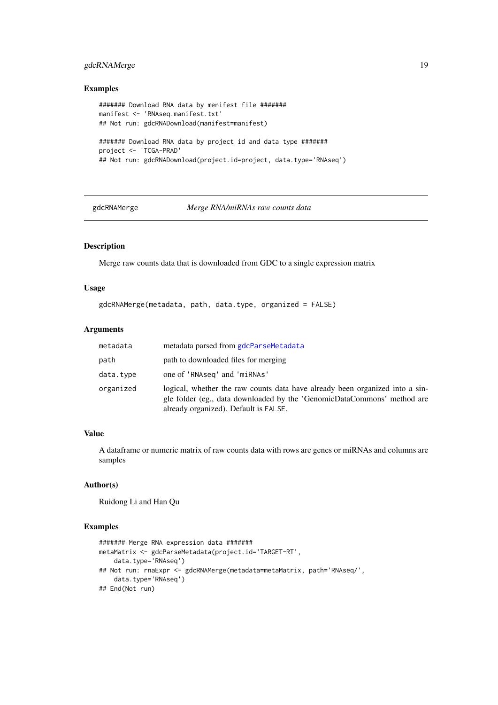#### <span id="page-18-0"></span>gdcRNAMerge 19

## Examples

```
####### Download RNA data by menifest file #######
manifest <- 'RNAseq.manifest.txt'
## Not run: gdcRNADownload(manifest=manifest)
####### Download RNA data by project id and data type #######
project <- 'TCGA-PRAD'
## Not run: gdcRNADownload(project.id=project, data.type='RNAseq')
```
<span id="page-18-1"></span>gdcRNAMerge *Merge RNA/miRNAs raw counts data*

#### Description

Merge raw counts data that is downloaded from GDC to a single expression matrix

## Usage

```
gdcRNAMerge(metadata, path, data.type, organized = FALSE)
```
## Arguments

| metadata  | metadata parsed from gdcParseMetadata                                                                                                                                                            |
|-----------|--------------------------------------------------------------------------------------------------------------------------------------------------------------------------------------------------|
| path      | path to downloaded files for merging                                                                                                                                                             |
| data.type | one of 'RNAseq' and 'miRNAs'                                                                                                                                                                     |
| organized | logical, whether the raw counts data have already been organized into a sin-<br>gle folder (eg., data downloaded by the 'GenomicDataCommons' method are<br>already organized). Default is FALSE. |

## Value

A dataframe or numeric matrix of raw counts data with rows are genes or miRNAs and columns are samples

## Author(s)

Ruidong Li and Han Qu

```
####### Merge RNA expression data #######
metaMatrix <- gdcParseMetadata(project.id='TARGET-RT',
    data.type='RNAseq')
## Not run: rnaExpr <- gdcRNAMerge(metadata=metaMatrix, path='RNAseq/',
    data.type='RNAseq')
## End(Not run)
```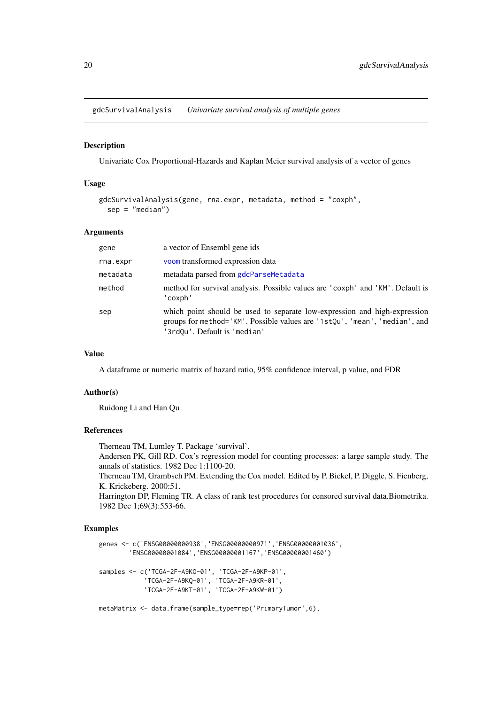<span id="page-19-0"></span>gdcSurvivalAnalysis *Univariate survival analysis of multiple genes*

#### Description

Univariate Cox Proportional-Hazards and Kaplan Meier survival analysis of a vector of genes

#### Usage

```
gdcSurvivalAnalysis(gene, rna.expr, metadata, method = "coxph",
  sep = "median")
```
#### Arguments

| gene     | a vector of Ensembl gene ids                                                                                                                                                            |
|----------|-----------------------------------------------------------------------------------------------------------------------------------------------------------------------------------------|
| rna.expr | voom transformed expression data                                                                                                                                                        |
| metadata | metadata parsed from gdcParseMetadata                                                                                                                                                   |
| method   | method for survival analysis. Possible values are 'coxph' and 'KM'. Default is<br>'coxph'                                                                                               |
| sep      | which point should be used to separate low-expression and high-expression<br>groups for method='KM'. Possible values are '1stQu', 'mean', 'median', and<br>'3rdQu'. Default is 'median' |

## Value

A dataframe or numeric matrix of hazard ratio, 95% confidence interval, p value, and FDR

#### Author(s)

Ruidong Li and Han Qu

## References

Therneau TM, Lumley T. Package 'survival'. Andersen PK, Gill RD. Cox's regression model for counting processes: a large sample study. The annals of statistics. 1982 Dec 1:1100-20. Therneau TM, Grambsch PM. Extending the Cox model. Edited by P. Bickel, P. Diggle, S. Fienberg,

K. Krickeberg. 2000:51. Harrington DP, Fleming TR. A class of rank test procedures for censored survival data.Biometrika.

1982 Dec 1;69(3):553-66.

## Examples

```
genes <- c('ENSG00000000938','ENSG00000000971','ENSG00000001036',
        'ENSG00000001084','ENSG00000001167','ENSG00000001460')
samples <- c('TCGA-2F-A9KO-01', 'TCGA-2F-A9KP-01',
             'TCGA-2F-A9KQ-01', 'TCGA-2F-A9KR-01',
             'TCGA-2F-A9KT-01', 'TCGA-2F-A9KW-01')
```
metaMatrix <- data.frame(sample\_type=rep('PrimaryTumor',6),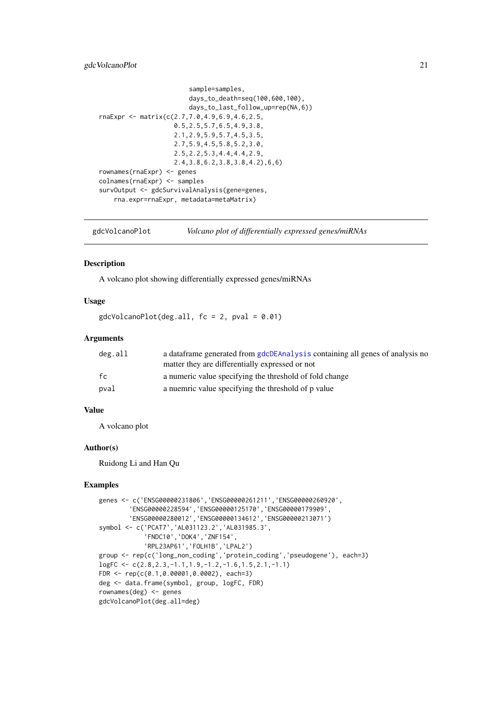#### <span id="page-20-0"></span>gdcVolcanoPlot 21

```
sample=samples,
                        days_to_death=seq(100,600,100),
                        days_to_last_follow_up=rep(NA,6))
rnaExpr <- matrix(c(2.7,7.0,4.9,6.9,4.6,2.5,
                    0.5,2.5,5.7,6.5,4.9,3.8,
                    2.1,2.9,5.9,5.7,4.5,3.5,
                    2.7,5.9,4.5,5.8,5.2,3.0,
                    2.5,2.2,5.3,4.4,4.4,2.9,
                    2.4,3.8,6.2,3.8,3.8,4.2),6,6)
rownames(rnaExpr) <- genes
colnames(rnaExpr) <- samples
survOutput <- gdcSurvivalAnalysis(gene=genes,
    rna.expr=rnaExpr, metadata=metaMatrix)
```
gdcVolcanoPlot *Volcano plot of differentially expressed genes/miRNAs*

#### Description

A volcano plot showing differentially expressed genes/miRNAs

## Usage

 $gdcVolcanoPlot(deg.all, fc = 2, pval = 0.01)$ 

#### Arguments

| deg.all | a data frame generated from gdcDEAnalysis containing all genes of analysis no<br>matter they are differentially expressed or not |
|---------|----------------------------------------------------------------------------------------------------------------------------------|
| fc      | a numeric value specifying the threshold of fold change                                                                          |
| pval    | a nuemric value specifying the threshold of p value                                                                              |

## Value

A volcano plot

#### Author(s)

Ruidong Li and Han Qu

```
genes <- c('ENSG00000231806','ENSG00000261211','ENSG00000260920',
        'ENSG00000228594','ENSG00000125170','ENSG00000179909',
        'ENSG00000280012','ENSG00000134612','ENSG00000213071')
symbol <- c('PCAT7','AL031123.2','AL031985.3',
            'FNDC10','DOK4','ZNF154',
            'RPL23AP61','FOLH1B','LPAL2')
group <- rep(c('long_non_coding','protein_coding','pseudogene'), each=3)
logFC <- c(2.8,2.3,-1.1,1.9,-1.2,-1.6,1.5,2.1,-1.1)
FDR <- rep(c(0.1,0.00001,0.0002), each=3)
deg <- data.frame(symbol, group, logFC, FDR)
rownames(deg) <- genes
gdcVolcanoPlot(deg.all=deg)
```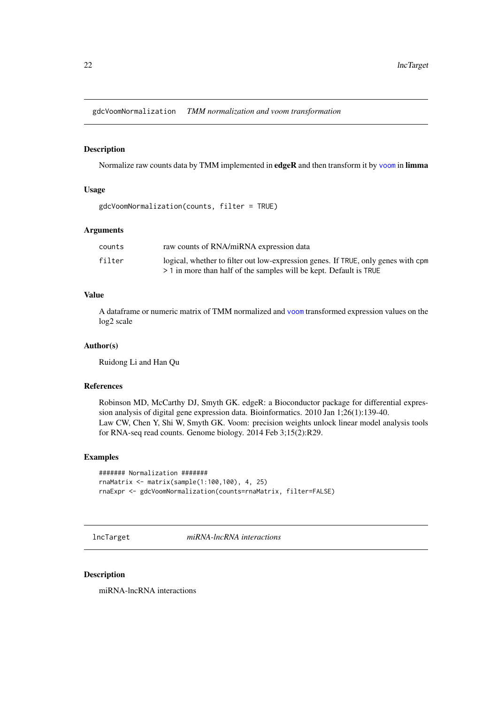<span id="page-21-0"></span>gdcVoomNormalization *TMM normalization and voom transformation*

#### Description

Normalize raw counts data by TMM implemented in edgeR and then transform it by [voom](#page-0-0) in limma

## Usage

gdcVoomNormalization(counts, filter = TRUE)

#### Arguments

| counts | raw counts of RNA/miRNA expression data                                           |
|--------|-----------------------------------------------------------------------------------|
| filter | logical, whether to filter out low-expression genes. If TRUE, only genes with cpm |
|        | > 1 in more than half of the samples will be kept. Default is TRUE                |

## Value

A dataframe or numeric matrix of TMM normalized and [voom](#page-0-0) transformed expression values on the log2 scale

## Author(s)

Ruidong Li and Han Qu

#### References

Robinson MD, McCarthy DJ, Smyth GK. edgeR: a Bioconductor package for differential expression analysis of digital gene expression data. Bioinformatics. 2010 Jan 1;26(1):139-40. Law CW, Chen Y, Shi W, Smyth GK. Voom: precision weights unlock linear model analysis tools for RNA-seq read counts. Genome biology. 2014 Feb 3;15(2):R29.

## Examples

```
####### Normalization #######
rnaMatrix <- matrix(sample(1:100,100), 4, 25)
rnaExpr <- gdcVoomNormalization(counts=rnaMatrix, filter=FALSE)
```
lncTarget *miRNA-lncRNA interactions*

## Description

miRNA-lncRNA interactions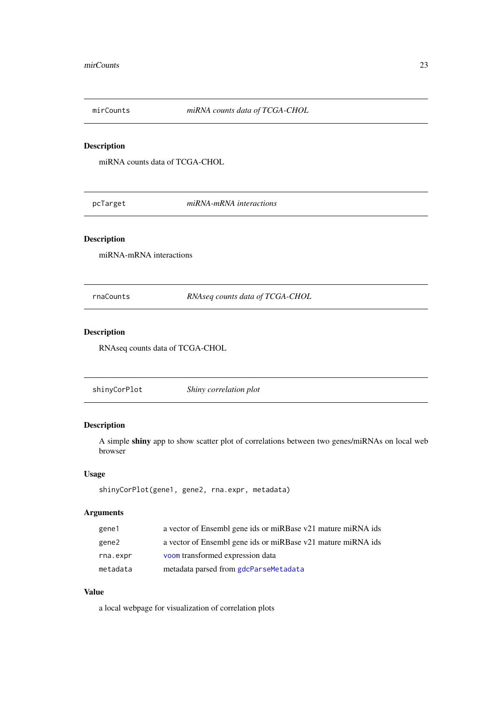<span id="page-22-0"></span>

## Description

miRNA counts data of TCGA-CHOL

pcTarget *miRNA-mRNA interactions*

## Description

miRNA-mRNA interactions

rnaCounts *RNAseq counts data of TCGA-CHOL*

## Description

RNAseq counts data of TCGA-CHOL

shinyCorPlot *Shiny correlation plot*

## Description

A simple shiny app to show scatter plot of correlations between two genes/miRNAs on local web browser

## Usage

```
shinyCorPlot(gene1, gene2, rna.expr, metadata)
```
## Arguments

| gene1    | a vector of Ensembl gene ids or miRBase v21 mature miRNA ids |
|----------|--------------------------------------------------------------|
| gene2    | a vector of Ensembl gene ids or miRBase v21 mature miRNA ids |
| rna.expr | voom transformed expression data                             |
| metadata | metadata parsed from gdcParseMetadata                        |

## Value

a local webpage for visualization of correlation plots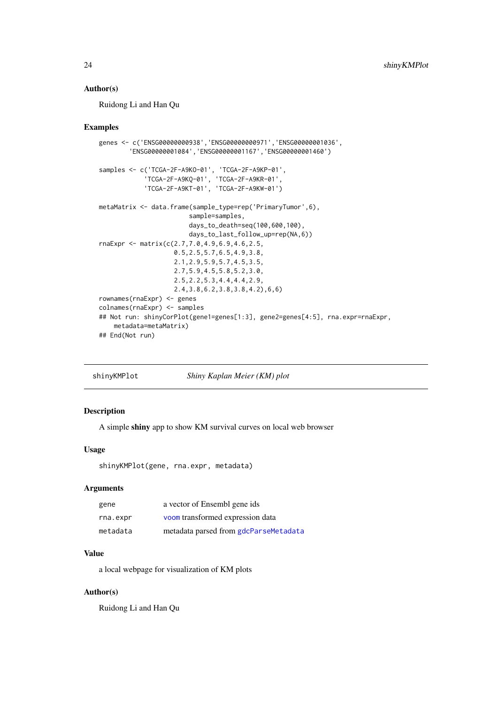#### <span id="page-23-0"></span>Author(s)

Ruidong Li and Han Qu

## Examples

```
genes <- c('ENSG00000000938','ENSG00000000971','ENSG00000001036',
        'ENSG00000001084','ENSG00000001167','ENSG00000001460')
samples <- c('TCGA-2F-A9KO-01', 'TCGA-2F-A9KP-01',
             'TCGA-2F-A9KQ-01', 'TCGA-2F-A9KR-01',
             'TCGA-2F-A9KT-01', 'TCGA-2F-A9KW-01')
metaMatrix <- data.frame(sample_type=rep('PrimaryTumor',6),
                        sample=samples,
                        days_to_death=seq(100,600,100),
                        days_to_last_follow_up=rep(NA,6))
rnaExpr <- matrix(c(2.7,7.0,4.9,6.9,4.6,2.5,
                    0.5,2.5,5.7,6.5,4.9,3.8,
                    2.1,2.9,5.9,5.7,4.5,3.5,
                    2.7,5.9,4.5,5.8,5.2,3.0,
                    2.5,2.2,5.3,4.4,4.4,2.9,
                    2.4,3.8,6.2,3.8,3.8,4.2),6,6)
rownames(rnaExpr) <- genes
colnames(rnaExpr) <- samples
## Not run: shinyCorPlot(gene1=genes[1:3], gene2=genes[4:5], rna.expr=rnaExpr,
    metadata=metaMatrix)
## End(Not run)
```
shinyKMPlot *Shiny Kaplan Meier (KM) plot*

## Description

A simple shiny app to show KM survival curves on local web browser

#### Usage

shinyKMPlot(gene, rna.expr, metadata)

#### Arguments

| gene     | a vector of Ensembl gene ids          |
|----------|---------------------------------------|
| rna.expr | voom transformed expression data      |
| metadata | metadata parsed from gdcParseMetadata |

## Value

a local webpage for visualization of KM plots

#### Author(s)

Ruidong Li and Han Qu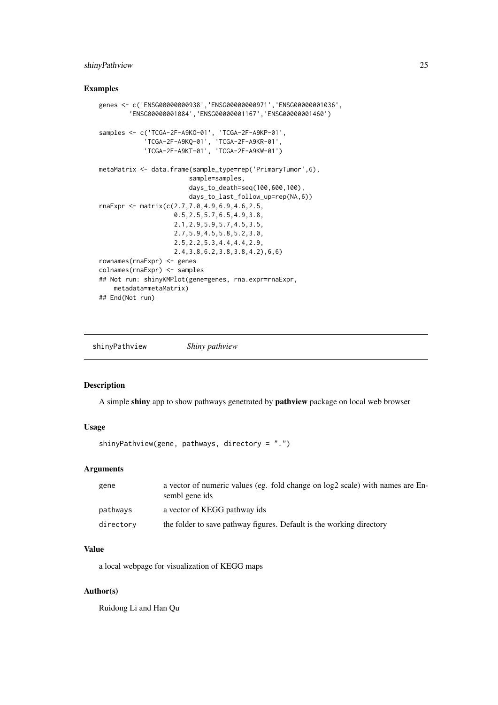#### <span id="page-24-0"></span>shinyPathview 25

## Examples

```
genes <- c('ENSG00000000938','ENSG00000000971','ENSG00000001036',
        'ENSG00000001084','ENSG00000001167','ENSG00000001460')
samples <- c('TCGA-2F-A9KO-01', 'TCGA-2F-A9KP-01',
             'TCGA-2F-A9KQ-01', 'TCGA-2F-A9KR-01',
             'TCGA-2F-A9KT-01', 'TCGA-2F-A9KW-01')
metaMatrix <- data.frame(sample_type=rep('PrimaryTumor',6),
                        sample=samples,
                        days_to_death=seq(100,600,100),
                        days_to_last_follow_up=rep(NA,6))
rnaExpr <- matrix(c(2.7,7.0,4.9,6.9,4.6,2.5,
                    0.5,2.5,5.7,6.5,4.9,3.8,
                    2.1,2.9,5.9,5.7,4.5,3.5,
                    2.7,5.9,4.5,5.8,5.2,3.0,
                    2.5,2.2,5.3,4.4,4.4,2.9,
                    2.4,3.8,6.2,3.8,3.8,4.2),6,6)
rownames(rnaExpr) <- genes
colnames(rnaExpr) <- samples
## Not run: shinyKMPlot(gene=genes, rna.expr=rnaExpr,
   metadata=metaMatrix)
## End(Not run)
```
shinyPathview *Shiny pathview*

## Description

A simple shiny app to show pathways genetrated by pathview package on local web browser

#### Usage

shinyPathview(gene, pathways, directory = ".")

## Arguments

| gene      | a vector of numeric values (eg. fold change on log2 scale) with names are En-<br>sembl gene ids |
|-----------|-------------------------------------------------------------------------------------------------|
| pathways  | a vector of KEGG pathway ids                                                                    |
| directory | the folder to save pathway figures. Default is the working directory                            |

## Value

a local webpage for visualization of KEGG maps

## Author(s)

Ruidong Li and Han Qu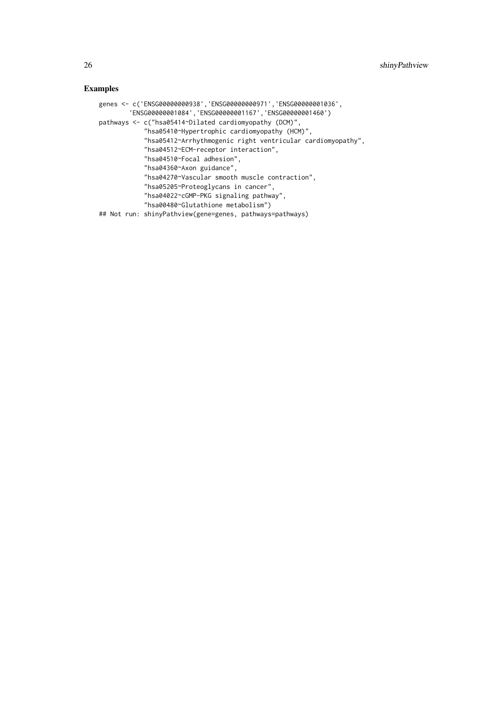```
genes <- c('ENSG00000000938','ENSG00000000971','ENSG00000001036',
        'ENSG00000001084','ENSG00000001167','ENSG00000001460')
pathways <- c("hsa05414~Dilated cardiomyopathy (DCM)",
           "hsa05410~Hypertrophic cardiomyopathy (HCM)",
            "hsa05412~Arrhythmogenic right ventricular cardiomyopathy",
            "hsa04512~ECM-receptor interaction",
            "hsa04510~Focal adhesion",
            "hsa04360~Axon guidance",
           "hsa04270~Vascular smooth muscle contraction",
            "hsa05205~Proteoglycans in cancer",
            "hsa04022~cGMP-PKG signaling pathway",
           "hsa00480~Glutathione metabolism")
## Not run: shinyPathview(gene=genes, pathways=pathways)
```